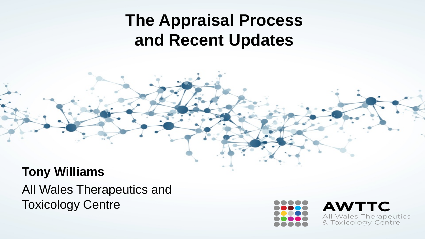#### **The Appraisal Process and Recent Updates**

#### **Tony Williams**

All Wales Therapeutics and Toxicology Centre



**AWTTC** All Wales Therapeutics & Toxicology Centre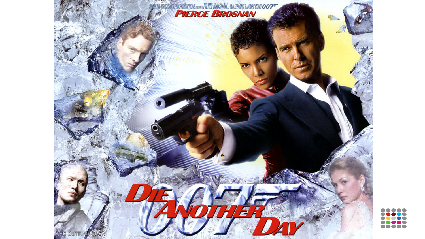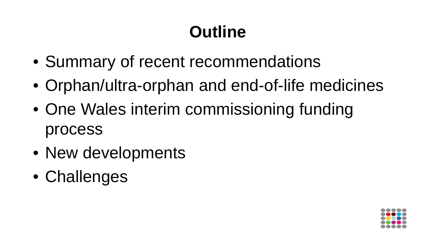# **Outline**

- Summary of recent recommendations
- Orphan/ultra-orphan and end-of-life medicines
- One Wales interim commissioning funding process
- New developments
- Challenges

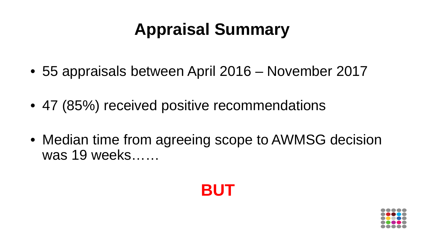## **Appraisal Summary**

- 55 appraisals between April 2016 November 2017
- 47 (85%) received positive recommendations
- Median time from agreeing scope to AWMSG decision was 19 weeks……



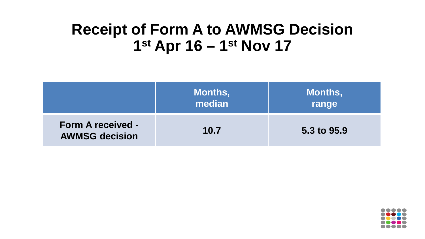#### **Receipt of Form A to AWMSG Decision 1st Apr 16 – 1st Nov 17**

|                                                   | <b>Months,</b><br>median | Months,<br>range |
|---------------------------------------------------|--------------------------|------------------|
| <b>Form A received -</b><br><b>AWMSG decision</b> | 10.7                     | 5.3 to 95.9      |

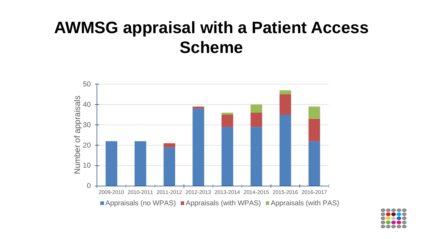#### **AWMSG appraisal with a Patient Access Scheme**



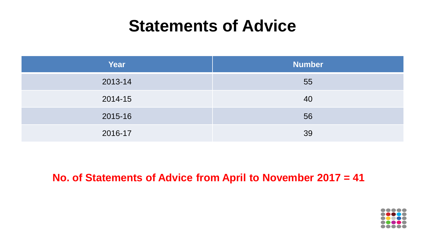#### **Statements of Advice**

| Year    | <b>Number</b> |
|---------|---------------|
| 2013-14 | 55            |
| 2014-15 | 40            |
| 2015-16 | 56            |
| 2016-17 | 39            |

#### **No. of Statements of Advice from April to November 2017 = 41**

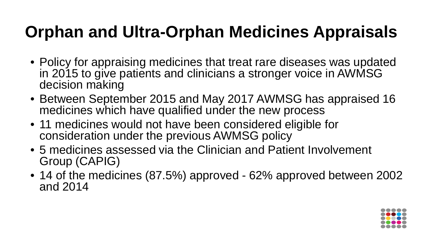### **Orphan and Ultra-Orphan Medicines Appraisals**

- Policy for appraising medicines that treat rare diseases was updated in 2015 to give patients and clinicians a stronger voice in AWMSG decision making
- Between September 2015 and May 2017 AWMSG has appraised 16 medicines which have qualified under the new process
- 11 medicines would not have been considered eligible for consideration under the previous AWMSG policy
- 5 medicines assessed via the Clinician and Patient Involvement Group (CAPIG)
- 14 of the medicines (87.5%) approved 62% approved between 2002 and 2014

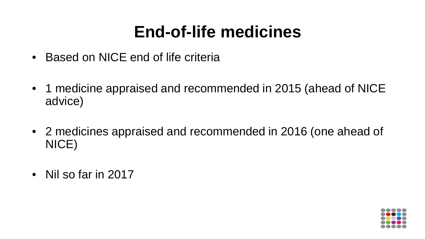#### **End-of-life medicines**

- Based on NICE end of life criteria
- 1 medicine appraised and recommended in 2015 (ahead of NICE advice)
- 2 medicines appraised and recommended in 2016 (one ahead of NICE)
- Nil so far in 2017

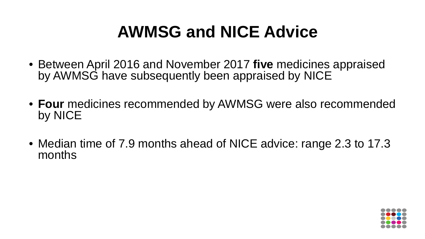### **AWMSG and NICE Advice**

- Between April 2016 and November 2017 **five** medicines appraised by AWMSG have subsequently been appraised by NICE
- **Four** medicines recommended by AWMSG were also recommended by NICE
- Median time of 7.9 months ahead of NICE advice: range 2.3 to 17.3 months

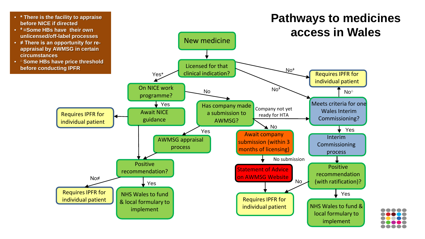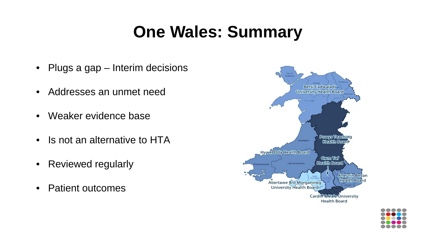#### **One Wales: Summary**

- Plugs a gap Interim decisions
- Addresses an unmet need
- Weaker evidence base
- Is not an alternative to HTA
- Reviewed regularly
- Patient outcomes



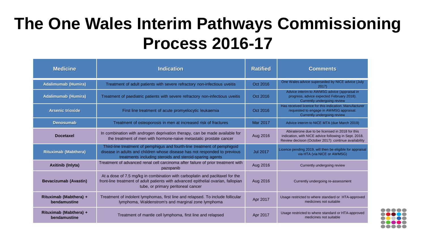#### **The One Wales Interim Pathways Commissioning Process 2016-17**

| <b>Medicine</b>                        | <b>Indication</b>                                                                                                                                                                                                   | <b>Ratified</b> | <b>Comments</b>                                                                                                                                                   |
|----------------------------------------|---------------------------------------------------------------------------------------------------------------------------------------------------------------------------------------------------------------------|-----------------|-------------------------------------------------------------------------------------------------------------------------------------------------------------------|
| Adalimumab (Humira)                    | Treatment of adult patients with severe refractory non-infectious uveitis                                                                                                                                           | Oct 2016        | One Wales advice superseded by NICE advice (July<br>2017                                                                                                          |
| Adalimumab (Humira)                    | Treatment of paediatric patients with severe refractory non-infectious uveitis                                                                                                                                      | Oct 2016        | Advice interim to AWMSG advice (appraisal in<br>progress, advice expected February 2018).<br>Currently undergoing review                                          |
| <b>Arsenic trioxide</b>                | First line treatment of acute promyelocytic leukaemia                                                                                                                                                               | Oct 2016        | Has received licence for this indication. Manufacturer<br>requested to engage in AWMSG appraisal.<br>Currently undergoing review                                  |
| <b>Denosumab</b>                       | Treatment of osteoporosis in men at increased risk of fractures                                                                                                                                                     | Mar 2017        | Advice interim to NICE MTA (due March 2019)                                                                                                                       |
| <b>Docetaxel</b>                       | In combination with androgen deprivation therapy, can be made available for<br>the treatment of men with hormone-naive metastatic prostate cancer                                                                   | Aug 2016        | Abiraterone due to be licensed in 2018 for this<br>indication, with NICE advice following in Sept. 2018.<br>Review decision (October 2017): continue availability |
| <b>Rituximab (Mabthera)</b>            | Third-line treatment of pemphigus and fourth-line treatment of pemphigoid<br>disease in adults and children whose disease has not responded to previous<br>treatments including steroids and steroid-sparing agents | <b>Jul 2017</b> | Licence pending 2019, will then be eligible for appraisal<br>via HTA (via NICE or AWMSG)                                                                          |
| Axitinib (Inlyta)                      | Treatment of advanced renal cell carcinoma after failure of prior treatment with<br>pazopanib                                                                                                                       | Aug 2016        | Currently undergoing review                                                                                                                                       |
| <b>Bevacizumab (Avastin)</b>           | At a dose of 7.5 mg/kg in combination with carboplatin and paclitaxel for the<br>front-line treatment of adult patients with advanced epithelial ovarian, fallopian<br>tube, or primary peritoneal cancer           | Aug 2016        | Currently undergoing re-assessment                                                                                                                                |
| Rituximab (Mabthera) +<br>bendamustine | Treatment of indolent lymphomas, first line and relapsed. To include follicular<br>lymphoma, Waldenstrom's and marginal zone lymphoma                                                                               | Apr 2017        | Usage restricted to where standard or HTA-approved<br>medicines not suitable                                                                                      |
| Rituximab (Mabthera) +<br>bendamustine | Treatment of mantle cell lymphoma, first line and relapsed                                                                                                                                                          | Apr 2017        | Usage restricted to where standard or HTA-approved<br>medicines not suitable                                                                                      |

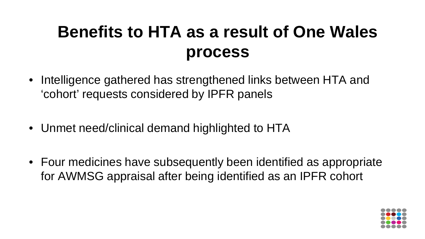### **Benefits to HTA as a result of One Wales process**

- Intelligence gathered has strengthened links between HTA and 'cohort' requests considered by IPFR panels
- Unmet need/clinical demand highlighted to HTA
- Four medicines have subsequently been identified as appropriate for AWMSG appraisal after being identified as an IPFR cohort

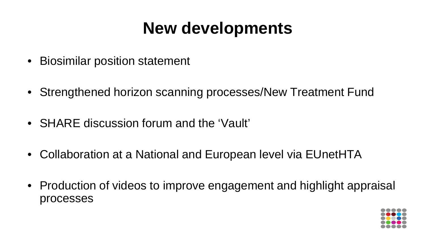#### **New developments**

- Biosimilar position statement
- Strengthened horizon scanning processes/New Treatment Fund
- SHARE discussion forum and the 'Vault'
- Collaboration at a National and European level via EUnetHTA
- Production of videos to improve engagement and highlight appraisal processes

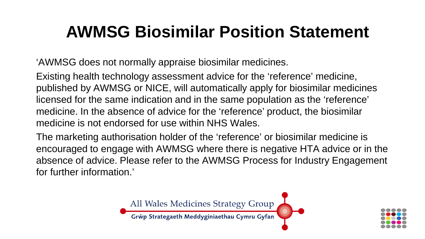#### **AWMSG Biosimilar Position Statement**

'AWMSG does not normally appraise biosimilar medicines.

Existing health technology assessment advice for the 'reference' medicine, published by AWMSG or NICE, will automatically apply for biosimilar medicines licensed for the same indication and in the same population as the 'reference' medicine. In the absence of advice for the 'reference' product, the biosimilar medicine is not endorsed for use within NHS Wales.

The marketing authorisation holder of the 'reference' or biosimilar medicine is encouraged to engage with AWMSG where there is negative HTA advice or in the absence of advice. Please refer to the AWMSG Process for Industry Engagement for further information.'



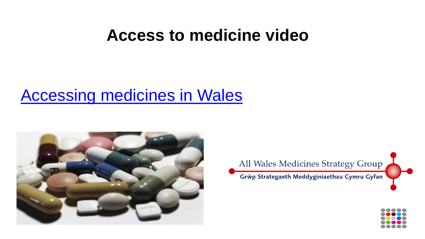#### **Access to medicine video**

#### [Accessing medicines in Wales](https://youtu.be/47tcgnF3Wwg)





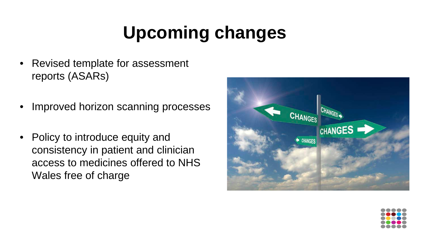# **Upcoming changes**

- Revised template for assessment reports (ASARs)
- Improved horizon scanning processes
- Policy to introduce equity and consistency in patient and clinician access to medicines offered to NHS Wales free of charge



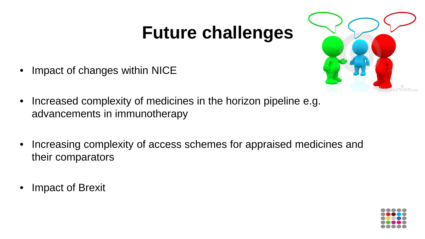## **Future challenges**



- Impact of changes within NICE
- Increased complexity of medicines in the horizon pipeline e.g. advancements in immunotherapy
- Increasing complexity of access schemes for appraised medicines and their comparators
- Impact of Brexit

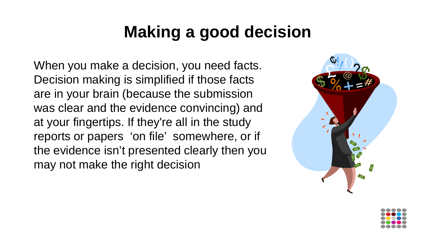#### **Making a good decision**

When you make a decision, you need facts. Decision making is simplified if those facts are in your brain (because the submission was clear and the evidence convincing) and at your fingertips. If they're all in the study reports or papers 'on file' somewhere, or if the evidence isn't presented clearly then you may not make the right decision



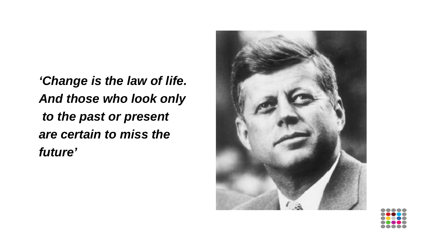*'Change is the law of life. And those who look only to the past or present are certain to miss the future'*